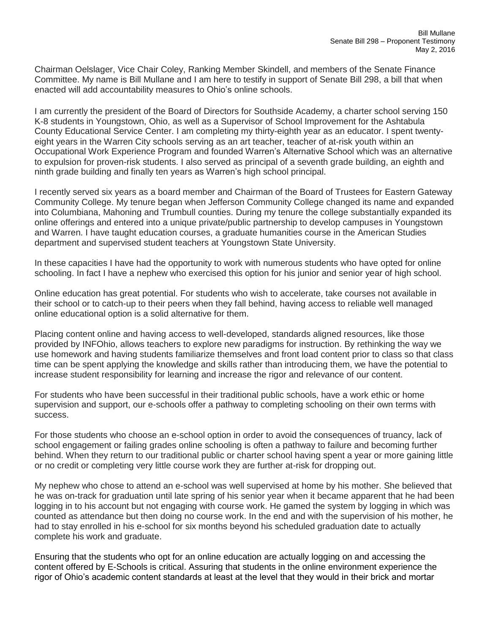Chairman Oelslager, Vice Chair Coley, Ranking Member Skindell, and members of the Senate Finance Committee. My name is Bill Mullane and I am here to testify in support of Senate Bill 298, a bill that when enacted will add accountability measures to Ohio's online schools.

I am currently the president of the Board of Directors for Southside Academy, a charter school serving 150 K-8 students in Youngstown, Ohio, as well as a Supervisor of School Improvement for the Ashtabula County Educational Service Center. I am completing my thirty-eighth year as an educator. I spent twentyeight years in the Warren City schools serving as an art teacher, teacher of at-risk youth within an Occupational Work Experience Program and founded Warren's Alternative School which was an alternative to expulsion for proven-risk students. I also served as principal of a seventh grade building, an eighth and ninth grade building and finally ten years as Warren's high school principal.

I recently served six years as a board member and Chairman of the Board of Trustees for Eastern Gateway Community College. My tenure began when Jefferson Community College changed its name and expanded into Columbiana, Mahoning and Trumbull counties. During my tenure the college substantially expanded its online offerings and entered into a unique private/public partnership to develop campuses in Youngstown and Warren. I have taught education courses, a graduate humanities course in the American Studies department and supervised student teachers at Youngstown State University.

In these capacities I have had the opportunity to work with numerous students who have opted for online schooling. In fact I have a nephew who exercised this option for his junior and senior year of high school.

Online education has great potential. For students who wish to accelerate, take courses not available in their school or to catch-up to their peers when they fall behind, having access to reliable well managed online educational option is a solid alternative for them.

Placing content online and having access to well-developed, standards aligned resources, like those provided by INFOhio, allows teachers to explore new paradigms for instruction. By rethinking the way we use homework and having students familiarize themselves and front load content prior to class so that class time can be spent applying the knowledge and skills rather than introducing them, we have the potential to increase student responsibility for learning and increase the rigor and relevance of our content.

For students who have been successful in their traditional public schools, have a work ethic or home supervision and support, our e-schools offer a pathway to completing schooling on their own terms with success.

For those students who choose an e-school option in order to avoid the consequences of truancy, lack of school engagement or failing grades online schooling is often a pathway to failure and becoming further behind. When they return to our traditional public or charter school having spent a year or more gaining little or no credit or completing very little course work they are further at-risk for dropping out.

My nephew who chose to attend an e-school was well supervised at home by his mother. She believed that he was on-track for graduation until late spring of his senior year when it became apparent that he had been logging in to his account but not engaging with course work. He gamed the system by logging in which was counted as attendance but then doing no course work. In the end and with the supervision of his mother, he had to stay enrolled in his e-school for six months beyond his scheduled graduation date to actually complete his work and graduate.

Ensuring that the students who opt for an online education are actually logging on and accessing the content offered by E-Schools is critical. Assuring that students in the online environment experience the rigor of Ohio's academic content standards at least at the level that they would in their brick and mortar